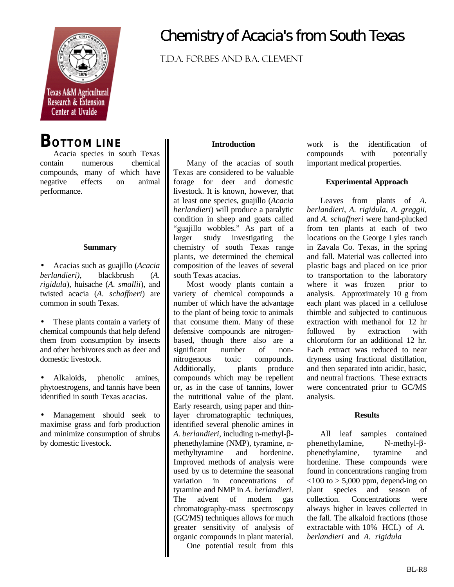

Acacia species in south Texas contain numerous chemical Many of the acacias of south important medical properties. compounds, many of which have Texas are considered to be valuable negative effects on animal forage for deer and domestic **Experimental Approach** performance. It is known, however, that

*berlandieri*), blackbrush (*A.* south Texas acacias. to transportation to the laboratory *rigidula*), huisache (*A. smallii*), and Most woody plants contain a where it was frozen prior to

# Chemistry of Acacia's from South Texas

T.D.A. Forbes and B.A. Clement

**Summary chemistry of south Texas range in Zavala Co. Texas, in the spring** Acacias such as guajillo (*Acacia* composition of the leaves of several plastic bags and placed on ice prior at least one species, guajillo (*Acacia* Leaves from plants of *A. berlandieri*) will produce a paralytic *berlandieri*, *A. rigidula*, *A. greggii*, condition in sheep and goats called and *A. schaffneri* were hand-plucked "guajillo wobbles." As part of a from ten plants at each of two larger study investigating the locations on the George Lyles ranch plants, we determined the chemical and fall. Material was collected into

twisted acacia (*A. schaffneri*) are variety of chemical compounds a analysis. Approximately 10 g from common in south Texas. **number of which have the advantage** each plant was placed in a cellulose These plants contain a variety of  $\parallel$  that consume them. Many of these extraction with methanol for 12 hr chemical compounds that help defend  $\parallel$  defensive compounds are nitrogen- followed by extraction with them from consumption by insects **b** based, though there also are a chloroform for an additional 12 hr. and other herbivores such as deer and  $\parallel$  significant number of non- Each extract was reduced to near domestic livestock.  $\parallel$  nitrogenous toxic compounds. dryness using fractional distillation, Alkaloids, phenolic amines, compounds which may be repellent and neutral fractions. These extracts phytoestrogens, and tannis have been  $\parallel$  or, as in the case of tannins, lower were concentrated prior to GC/MS identified in south Texas acacias.  $\parallel$  the nutritional value of the plant. analysis. Management should seek to layer chromatographic techniques, **Results** maximise grass and forb production **i** identified several phenolic amines in and minimize consumption of shrubs **A**. *berlandieri*, including n-methyl- $\beta$ - All leaf samples contained by domestic livestock. phenethylamine (NMP), tyramine, n-<br>methylamine, N-methyl- $\beta$ -<br>methyltyramine and hordenine, phenethylamine, tyramine and to the plant of being toxic to animals thimble and subjected to continuous Additionally, plants produce and then separated into acidic, basic, Early research, using paper and thinmethyltyramine and hordenine. phenethylamine, tyramine and Improved methods of analysis were hordenine. These compounds were used by us to determine the seasonal found in concentrations ranging from variation in concentrations of  $\langle 100 \text{ to } \rangle 5,000 \text{ ppm}$ , depend-ing on tyramine and NMP in *A. berlandieri*. plant species and season of The advent of modern gas collection. Concentrations were chromatography-mass spectroscopy always higher in leaves collected in (GC/MS) techniques allows for much the fall. The alkaloid fractions (those greater sensitivity of analysis of extractable with 10% HCL) of *A.* organic compounds in plant material. *berlandieri* and *A. rigidula* One potential result from this

**BOTTOM LINE Introduction** work is the identification of Acacia species in south Texas